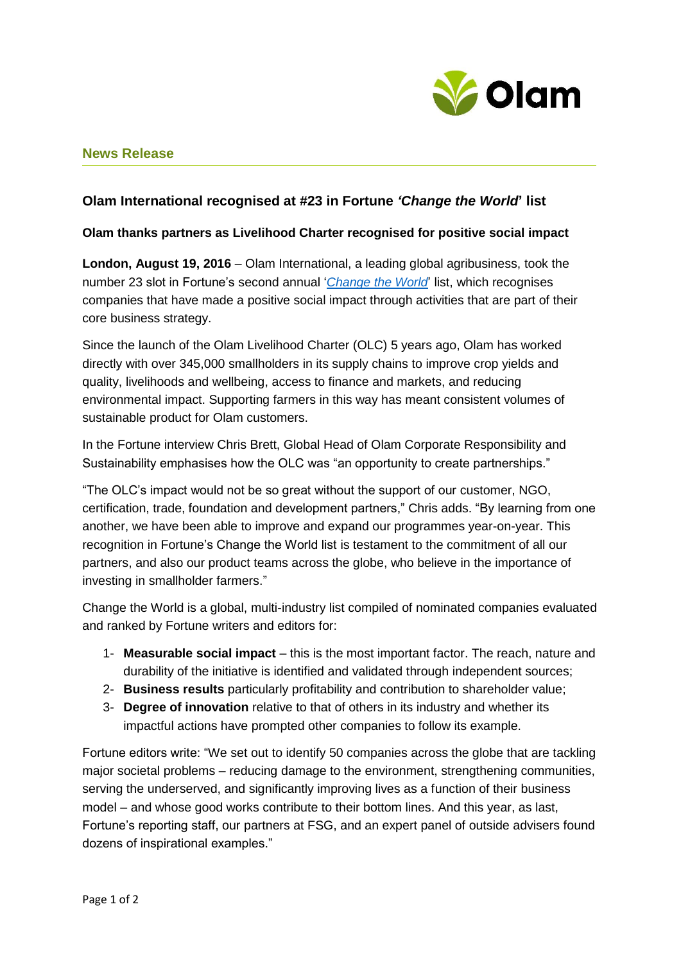

# **News Release**

## **Olam International recognised at #23 in Fortune** *'Change the World***' list**

## **Olam thanks partners as Livelihood Charter recognised for positive social impact**

**London, August 19, 2016** – Olam International, a leading global agribusiness, took the number 23 slot in Fortune's second annual '*[Change the World](http://beta.fortune.com/change-the-world/olam-international-23)*' list, which recognises companies that have made a positive social impact through activities that are part of their core business strategy.

Since the launch of the Olam Livelihood Charter (OLC) 5 years ago, Olam has worked directly with over 345,000 smallholders in its supply chains to improve crop yields and quality, livelihoods and wellbeing, access to finance and markets, and reducing environmental impact. Supporting farmers in this way has meant consistent volumes of sustainable product for Olam customers.

In the Fortune interview Chris Brett, Global Head of Olam Corporate Responsibility and Sustainability emphasises how the OLC was "an opportunity to create partnerships."

"The OLC's impact would not be so great without the support of our customer, NGO, certification, trade, foundation and development partners," Chris adds. "By learning from one another, we have been able to improve and expand our programmes year-on-year. This recognition in Fortune's Change the World list is testament to the commitment of all our partners, and also our product teams across the globe, who believe in the importance of investing in smallholder farmers."

Change the World is a global, multi-industry list compiled of nominated companies evaluated and ranked by Fortune writers and editors for:

- 1- **Measurable social impact** this is the most important factor. The reach, nature and durability of the initiative is identified and validated through independent sources;
- 2- **Business results** particularly profitability and contribution to shareholder value;
- 3- **Degree of innovation** relative to that of others in its industry and whether its impactful actions have prompted other companies to follow its example.

Fortune editors write: "We set out to identify 50 companies across the globe that are tackling major societal problems – reducing damage to the environment, strengthening communities, serving the underserved, and significantly improving lives as a function of their business model – and whose good works contribute to their bottom lines. And this year, as last, Fortune's reporting staff, our partners at FSG, and an expert panel of outside advisers found dozens of inspirational examples."